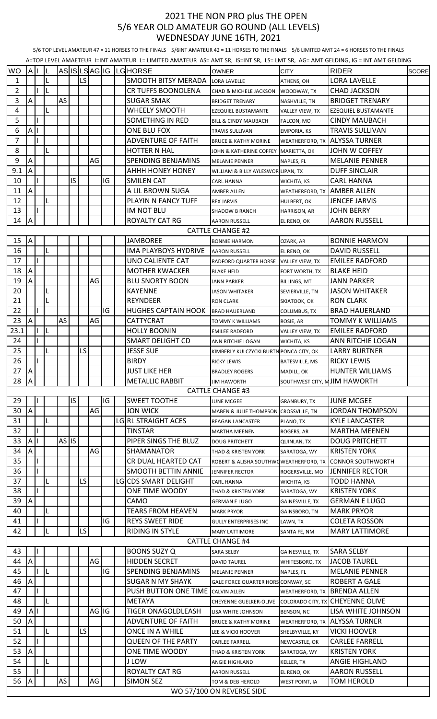## 2021 THE NON PRO plus THE OPEN 5/6 YEAR OLD AMATEUR GO ROUND (ALL LEVELS) WEDNESDAY JUNE 16TH, 2021

5/6 TOP LEVEL AMATEUR 47 = 11 HORSES TO THE FINALS 5/6INT AMATEUR 42 = 11 HORSES TO THE FINALS 5/6 LIMITED AMT 24 = 6 HORSES TO THE FINALS

| ASISLSAGIG LGHORSE<br><b>RIDER</b><br><b>WO</b><br>$\overline{A}$<br><b>OWNER</b><br><b>CITY</b><br>LS<br><b>SMOOTH BITSY MERADA</b><br><b>LORA LAVELLE</b><br>L<br>$\mathbf{1}$<br>LORA LAVELLE<br>ATHENS, OH<br>$\overline{2}$<br>L<br>CR TUFFS BOONOLENA<br><b>CHAD JACKSON</b><br>WOODWAY, TX<br>CHAD & MICHELE JACKSON<br>AS<br>3<br>A<br><b>SUGAR SMAK</b><br><b>BRIDGET TRENARY</b><br>NASHVILLE, TN<br><b>BRIDGET TRENARY</b><br>4<br>L<br><b>WHEELY SMOOTH</b><br>EZEQUIEL BUSTAMANTE<br>EZEQUIEL BUSTAMANTE<br><b>VALLEY VIEW, TX</b><br>5<br>SOMETHNG IN RED<br><b>CINDY MAUBACH</b><br><b>BILL &amp; CINDY MAUBACH</b><br>FALCON, MO<br>$\mathsf{A}$<br>6<br>ONE BLU FOX<br><b>TRAVIS SULLIVAN</b><br>TRAVIS SULLIVAN<br><b>EMPORIA, KS</b><br>$\overline{7}$<br><b>ADVENTURE OF FAITH</b><br>JALYSSA TURNER<br><b>WEATHERFORD, TX</b><br><b>BRUCE &amp; KATHY MORINE</b><br>8<br><b>HOTTER N HAL</b><br>JOHN W COFFEY<br>JOHN & KATHERINE COFFEY MARIETTA, OK<br>9<br>A<br>AG<br><b>SPENDING BENJAMINS</b><br><b>MELANIE PENNER</b><br><b>MELANIE PENNER</b><br>NAPLES, FL<br>A<br>9.1<br><b>DUFF SINCLAIR</b><br>AHHH HONEY HONEY<br>WILLIAM & BILLY AYLESWOR LIPAN, TX<br>IS<br>IG<br>10<br>SMILEN CAT<br><b>CARL HANNA</b><br><b>CARL HANNA</b><br>WICHITA, KS<br>A<br>11<br>A LIL BROWN SUGA<br>WEATHERFORD, TX AMBER ALLEN<br><b>AMBER ALLEN</b><br>12<br>L<br><b>PLAYIN N FANCY TUFF</b><br><b>JENCEE JARVIS</b><br>HULBERT, OK<br><b>REX JARVIS</b><br>13<br>IM NOT BLU<br><b>JOHN BERRY</b><br>HARRISON, AR<br><b>SHADOW B RANCH</b><br>A<br>14<br>ROYALTY CAT RG<br><b>AARON RUSSELL</b><br><b>AARON RUSSELL</b><br>EL RENO, OK<br><b>CATTLE CHANGE #2</b><br>JAMBOREE<br><b>BONNIE HARMON</b><br>15<br>A<br><b>BONNIE HARMON</b><br>OZARK, AR<br>16<br>IMA PLAYBOYS HYDRIVE<br><b>DAVID RUSSELL</b><br>L<br><b>AARON RUSSELL</b><br>EL RENO, OK<br>17<br>UNO CALIENTE CAT<br><b>EMILEE RADFORD</b><br>RADFORD QUARTER HORSE VALLEY VIEW, TX<br>A<br>18<br><b>MOTHER KWACKER</b><br><b>BLAKE HEID</b><br><b>BLAKE HEID</b><br>FORT WORTH, TX<br>19<br>$\Lambda$<br>AG<br><b>BLU SNORTY BOON</b><br><b>JANN PARKER</b><br><b>JANN PARKER</b><br><b>BILLINGS, MT</b><br>L<br>20<br><b>KAYENNE</b><br>JASON WHITAKER<br>JASON WHITAKER<br>SEVIERVILLE, TN<br>21<br><b>REYNDEER</b><br><b>RON CLARK</b><br>SKIATOOK, OK<br><b>RON CLARK</b><br>22<br>IG<br><b>HUGHES CAPTAIN HOOK</b><br><b>BRAD HAUERLAND</b><br><b>BRAD HAUERLAND</b><br><b>COLUMBUS, TX</b><br>AS<br>$\overline{A}$<br>AG<br>23<br>TOMMY K WILLIAMS<br>CATTYCRAT<br>TOMMY K WILLIAMS<br>ROSIE, AR<br>23.1<br><b>HOLLY BOONIN</b><br><b>EMILEE RADFORD</b><br>L<br><b>EMILEE RADFORD</b><br>VALLEY VIEW, TX<br>24<br><b>SMART DELIGHT CD</b><br>ANN RITCHIE LOGAN<br>WICHITA, KS<br>ANN RITCHIE LOGAN<br>LS<br>25<br>L<br><b>JESSE SUE</b><br><b>LARRY BURTNER</b><br>KIMBERLY KULCZYCKI BURTN PONCA CITY, OK<br>26<br><b>RICKY LEWIS</b><br><b>BIRDY</b><br><b>RICKY LEWIS</b><br><b>BATESVILLE, MS</b><br>27<br><b>A</b><br><b>JUST LIKE HER</b><br><b>HUNTER WILLIAMS</b><br>MADILL, OK<br><b>BRADLEY ROGERS</b><br>SOUTHWEST CITY, M JIM HAWORTH<br>A<br><b>METALLIC RABBIT</b><br>28<br><b>JIM HAWORTH</b><br><b>CATTLE CHANGE #3</b><br>29<br>IS<br>IG<br><b>SWEET TOOTHE</b><br><b>JUNE MCGEE</b><br><b>JUNE MCGEE</b><br><b>GRANBURY, TX</b><br>AG<br>A<br>30<br><b>JON WICK</b><br><b>JORDAN THOMPSON</b><br>MABEN & JULIE THOMPSON CROSSVILLE, TN<br>31<br>L<br>LG RL STRAIGHT ACES<br><b>KYLE LANCASTER</b><br><b>REAGAN LANCASTER</b><br>PLANO, TX<br>32<br><b>TINSTAR</b><br><b>MARTHA MEENEN</b><br>ROGERS, AR<br><b>MARTHA MEENEN</b><br>$AS$ IS<br>$\mathsf{A}$<br>33<br>PIPER SINGS THE BLUZ<br><b>DOUG PRITCHETT</b><br><b>DOUG PRITCHETT</b><br>QUINLAN, TX<br>AG<br>34<br>A<br><b>SHAMANATOR</b><br><b>KRISTEN YORK</b><br>THAD & KRISTEN YORK<br>SARATOGA, WY<br>35<br>CR DUAL HEARTED CAT<br>ROBERT & ALISHA SOUTHWOWEATHERFORD, TX<br><b>CONNOR SOUTHWORTH</b><br>36<br><b>SMOOTH BETTIN ANNIE</b><br><b>JENNIFER RECTOR</b><br>ROGERSVILLE, MO<br><b>JENNIFER RECTOR</b><br>LS.<br>37<br>L<br>LG <b>I</b> CDS SMART DELIGHT<br>TODD HANNA<br><b>CARL HANNA</b><br>WICHITA, KS<br>38<br>ONE TIME WOODY<br><b>KRISTEN YORK</b><br>THAD & KRISTEN YORK<br>SARATOGA, WY<br>39<br>$\overline{A}$<br>CAMO<br><b>GERMAN E LUGO</b><br><b>GERMAN E LUGO</b><br><b>GAINESVILLE, TX</b><br>40<br>L<br>TEARS FROM HEAVEN<br><b>MARK PRYOR</b><br><b>MARK PRYOR</b><br><b>GAINSBORO, TN</b><br>IG<br><b>REYS SWEET RIDE</b><br><b>COLETA ROSSON</b><br>41<br>LAWN, TX<br><b>GULLY ENTERPRISES INC</b><br>LS<br>42<br>RIDING IN STYLE<br><b>MARY LATTIMORE</b><br><b>MARY LATTIMORE</b><br>SANTA FE, NM<br><b>CATTLE CHANGE #4</b><br><b>BOONS SUZY Q</b><br>43<br><b>SARA SELBY</b><br><b>SARA SELBY</b><br><b>GAINESVILLE, TX</b><br>AG<br>$\boldsymbol{\mathsf{A}}$<br>44<br><b>HIDDEN SECRET</b><br><b>JACOB TAUREL</b><br>WHITESBORO, TX<br><b>DAVID TAUREL</b><br>45<br>L<br>IG<br><b>SPENDING BENJAMINS</b><br><b>MELANIE PENNER</b><br><b>MELANIE PENNER</b><br>NAPLES, FL<br>46<br>A<br><b>ROBERT A GALE</b><br><b>SUGAR N MY SHAYK</b><br>GALE FORCE QUARTER HORS CONWAY, SC<br>47<br>PUSH BUTTON ONE TIME CALVIN ALLEN<br><b>BRENDA ALLEN</b><br><b>WEATHERFORD, TX</b><br>48<br><b>METAYA</b><br>L<br><b>CHEYENNE OLIVE</b><br>COLORADO CITY, TX<br><b>CHEYENNE GUELKER-OLIVE</b><br>AG IG<br>49<br>A<br><b>TIGER ONAGOLDLEASH</b><br>LISA WHITE JOHNSON<br><b>BENSON, NC</b><br>LISA WHITE JOHNSON<br>50<br>A<br><b>ADVENTURE OF FAITH</b><br><b>ALYSSA TURNER</b><br><b>BRUCE &amp; KATHY MORINE</b><br><b>WEATHERFORD, TX</b><br>LS<br>51<br>L<br>ONCE IN A WHILE<br><b>VICKI HOOVER</b><br>SHELBYVILLE, KY<br>LEE & VICKI HOOVER<br>52<br><b>QUEEN OF THE PARTY</b><br><b>CARLEE FARRELL</b><br>NEWCASTLE, OK<br><b>CARLEE FARRELL</b><br>53<br>A<br>ONE TIME WOODY<br><b>KRISTEN YORK</b><br>SARATOGA, WY<br>THAD & KRISTEN YORK<br>54<br>L<br>J LOW<br><b>ANGIE HIGHLAND</b><br><b>KELLER, TX</b><br>ANGIE HIGHLAND<br>55<br><b>ROYALTY CAT RG</b><br><b>AARON RUSSELL</b><br>EL RENO, OK<br><b>AARON RUSSELL</b> | A=TOP LEVEL AMAETEUR I=INT AMATEUR L= LIMITED AMATEUR AS= AMT SR, IS=INT SR, LS= LMT SR, AG= AMT GELDING, IG = INT AMT GELDING |  |  |  |  |  |  |  |  |  |  |  |  |              |
|------------------------------------------------------------------------------------------------------------------------------------------------------------------------------------------------------------------------------------------------------------------------------------------------------------------------------------------------------------------------------------------------------------------------------------------------------------------------------------------------------------------------------------------------------------------------------------------------------------------------------------------------------------------------------------------------------------------------------------------------------------------------------------------------------------------------------------------------------------------------------------------------------------------------------------------------------------------------------------------------------------------------------------------------------------------------------------------------------------------------------------------------------------------------------------------------------------------------------------------------------------------------------------------------------------------------------------------------------------------------------------------------------------------------------------------------------------------------------------------------------------------------------------------------------------------------------------------------------------------------------------------------------------------------------------------------------------------------------------------------------------------------------------------------------------------------------------------------------------------------------------------------------------------------------------------------------------------------------------------------------------------------------------------------------------------------------------------------------------------------------------------------------------------------------------------------------------------------------------------------------------------------------------------------------------------------------------------------------------------------------------------------------------------------------------------------------------------------------------------------------------------------------------------------------------------------------------------------------------------------------------------------------------------------------------------------------------------------------------------------------------------------------------------------------------------------------------------------------------------------------------------------------------------------------------------------------------------------------------------------------------------------------------------------------------------------------------------------------------------------------------------------------------------------------------------------------------------------------------------------------------------------------------------------------------------------------------------------------------------------------------------------------------------------------------------------------------------------------------------------------------------------------------------------------------------------------------------------------------------------------------------------------------------------------------------------------------------------------------------------------------------------------------------------------------------------------------------------------------------------------------------------------------------------------------------------------------------------------------------------------------------------------------------------------------------------------------------------------------------------------------------------------------------------------------------------------------------------------------------------------------------------------------------------------------------------------------------------------------------------------------------------------------------------------------------------------------------------------------------------------------------------------------------------------------------------------------------------------------------------------------------------------------------------------------------------------------------------------------------------------------------------------------------------------------------------------------------------------------------------------------------------------------------------------------------------------------------------------------------------------------------------------------------------------------------------------------------------------------------------------------------------------------------------------------------------------------------------------------------------------------------------------------------------------------------------------------------------------------------------------------------------------------------------------------------------------------------------------------------------------------------------------------------------------------------------------------------------------------------------------------------------------------------------------------------------------------------------------------------------------------------------------------------------------------------------------------------------------------------------------------------------------------------------------------------------------------------------------------------------------------------------------------------------------------------------------------------------------------------------------------|--------------------------------------------------------------------------------------------------------------------------------|--|--|--|--|--|--|--|--|--|--|--|--|--------------|
|                                                                                                                                                                                                                                                                                                                                                                                                                                                                                                                                                                                                                                                                                                                                                                                                                                                                                                                                                                                                                                                                                                                                                                                                                                                                                                                                                                                                                                                                                                                                                                                                                                                                                                                                                                                                                                                                                                                                                                                                                                                                                                                                                                                                                                                                                                                                                                                                                                                                                                                                                                                                                                                                                                                                                                                                                                                                                                                                                                                                                                                                                                                                                                                                                                                                                                                                                                                                                                                                                                                                                                                                                                                                                                                                                                                                                                                                                                                                                                                                                                                                                                                                                                                                                                                                                                                                                                                                                                                                                                                                                                                                                                                                                                                                                                                                                                                                                                                                                                                                                                                                                                                                                                                                                                                                                                                                                                                                                                                                                                                                                                                                                                                                                                                                                                                                                                                                                                                                                                                                                                                                                                                                    |                                                                                                                                |  |  |  |  |  |  |  |  |  |  |  |  | <b>SCORE</b> |
|                                                                                                                                                                                                                                                                                                                                                                                                                                                                                                                                                                                                                                                                                                                                                                                                                                                                                                                                                                                                                                                                                                                                                                                                                                                                                                                                                                                                                                                                                                                                                                                                                                                                                                                                                                                                                                                                                                                                                                                                                                                                                                                                                                                                                                                                                                                                                                                                                                                                                                                                                                                                                                                                                                                                                                                                                                                                                                                                                                                                                                                                                                                                                                                                                                                                                                                                                                                                                                                                                                                                                                                                                                                                                                                                                                                                                                                                                                                                                                                                                                                                                                                                                                                                                                                                                                                                                                                                                                                                                                                                                                                                                                                                                                                                                                                                                                                                                                                                                                                                                                                                                                                                                                                                                                                                                                                                                                                                                                                                                                                                                                                                                                                                                                                                                                                                                                                                                                                                                                                                                                                                                                                                    |                                                                                                                                |  |  |  |  |  |  |  |  |  |  |  |  |              |
|                                                                                                                                                                                                                                                                                                                                                                                                                                                                                                                                                                                                                                                                                                                                                                                                                                                                                                                                                                                                                                                                                                                                                                                                                                                                                                                                                                                                                                                                                                                                                                                                                                                                                                                                                                                                                                                                                                                                                                                                                                                                                                                                                                                                                                                                                                                                                                                                                                                                                                                                                                                                                                                                                                                                                                                                                                                                                                                                                                                                                                                                                                                                                                                                                                                                                                                                                                                                                                                                                                                                                                                                                                                                                                                                                                                                                                                                                                                                                                                                                                                                                                                                                                                                                                                                                                                                                                                                                                                                                                                                                                                                                                                                                                                                                                                                                                                                                                                                                                                                                                                                                                                                                                                                                                                                                                                                                                                                                                                                                                                                                                                                                                                                                                                                                                                                                                                                                                                                                                                                                                                                                                                                    |                                                                                                                                |  |  |  |  |  |  |  |  |  |  |  |  |              |
|                                                                                                                                                                                                                                                                                                                                                                                                                                                                                                                                                                                                                                                                                                                                                                                                                                                                                                                                                                                                                                                                                                                                                                                                                                                                                                                                                                                                                                                                                                                                                                                                                                                                                                                                                                                                                                                                                                                                                                                                                                                                                                                                                                                                                                                                                                                                                                                                                                                                                                                                                                                                                                                                                                                                                                                                                                                                                                                                                                                                                                                                                                                                                                                                                                                                                                                                                                                                                                                                                                                                                                                                                                                                                                                                                                                                                                                                                                                                                                                                                                                                                                                                                                                                                                                                                                                                                                                                                                                                                                                                                                                                                                                                                                                                                                                                                                                                                                                                                                                                                                                                                                                                                                                                                                                                                                                                                                                                                                                                                                                                                                                                                                                                                                                                                                                                                                                                                                                                                                                                                                                                                                                                    |                                                                                                                                |  |  |  |  |  |  |  |  |  |  |  |  |              |
|                                                                                                                                                                                                                                                                                                                                                                                                                                                                                                                                                                                                                                                                                                                                                                                                                                                                                                                                                                                                                                                                                                                                                                                                                                                                                                                                                                                                                                                                                                                                                                                                                                                                                                                                                                                                                                                                                                                                                                                                                                                                                                                                                                                                                                                                                                                                                                                                                                                                                                                                                                                                                                                                                                                                                                                                                                                                                                                                                                                                                                                                                                                                                                                                                                                                                                                                                                                                                                                                                                                                                                                                                                                                                                                                                                                                                                                                                                                                                                                                                                                                                                                                                                                                                                                                                                                                                                                                                                                                                                                                                                                                                                                                                                                                                                                                                                                                                                                                                                                                                                                                                                                                                                                                                                                                                                                                                                                                                                                                                                                                                                                                                                                                                                                                                                                                                                                                                                                                                                                                                                                                                                                                    |                                                                                                                                |  |  |  |  |  |  |  |  |  |  |  |  |              |
|                                                                                                                                                                                                                                                                                                                                                                                                                                                                                                                                                                                                                                                                                                                                                                                                                                                                                                                                                                                                                                                                                                                                                                                                                                                                                                                                                                                                                                                                                                                                                                                                                                                                                                                                                                                                                                                                                                                                                                                                                                                                                                                                                                                                                                                                                                                                                                                                                                                                                                                                                                                                                                                                                                                                                                                                                                                                                                                                                                                                                                                                                                                                                                                                                                                                                                                                                                                                                                                                                                                                                                                                                                                                                                                                                                                                                                                                                                                                                                                                                                                                                                                                                                                                                                                                                                                                                                                                                                                                                                                                                                                                                                                                                                                                                                                                                                                                                                                                                                                                                                                                                                                                                                                                                                                                                                                                                                                                                                                                                                                                                                                                                                                                                                                                                                                                                                                                                                                                                                                                                                                                                                                                    |                                                                                                                                |  |  |  |  |  |  |  |  |  |  |  |  |              |
|                                                                                                                                                                                                                                                                                                                                                                                                                                                                                                                                                                                                                                                                                                                                                                                                                                                                                                                                                                                                                                                                                                                                                                                                                                                                                                                                                                                                                                                                                                                                                                                                                                                                                                                                                                                                                                                                                                                                                                                                                                                                                                                                                                                                                                                                                                                                                                                                                                                                                                                                                                                                                                                                                                                                                                                                                                                                                                                                                                                                                                                                                                                                                                                                                                                                                                                                                                                                                                                                                                                                                                                                                                                                                                                                                                                                                                                                                                                                                                                                                                                                                                                                                                                                                                                                                                                                                                                                                                                                                                                                                                                                                                                                                                                                                                                                                                                                                                                                                                                                                                                                                                                                                                                                                                                                                                                                                                                                                                                                                                                                                                                                                                                                                                                                                                                                                                                                                                                                                                                                                                                                                                                                    |                                                                                                                                |  |  |  |  |  |  |  |  |  |  |  |  |              |
|                                                                                                                                                                                                                                                                                                                                                                                                                                                                                                                                                                                                                                                                                                                                                                                                                                                                                                                                                                                                                                                                                                                                                                                                                                                                                                                                                                                                                                                                                                                                                                                                                                                                                                                                                                                                                                                                                                                                                                                                                                                                                                                                                                                                                                                                                                                                                                                                                                                                                                                                                                                                                                                                                                                                                                                                                                                                                                                                                                                                                                                                                                                                                                                                                                                                                                                                                                                                                                                                                                                                                                                                                                                                                                                                                                                                                                                                                                                                                                                                                                                                                                                                                                                                                                                                                                                                                                                                                                                                                                                                                                                                                                                                                                                                                                                                                                                                                                                                                                                                                                                                                                                                                                                                                                                                                                                                                                                                                                                                                                                                                                                                                                                                                                                                                                                                                                                                                                                                                                                                                                                                                                                                    |                                                                                                                                |  |  |  |  |  |  |  |  |  |  |  |  |              |
|                                                                                                                                                                                                                                                                                                                                                                                                                                                                                                                                                                                                                                                                                                                                                                                                                                                                                                                                                                                                                                                                                                                                                                                                                                                                                                                                                                                                                                                                                                                                                                                                                                                                                                                                                                                                                                                                                                                                                                                                                                                                                                                                                                                                                                                                                                                                                                                                                                                                                                                                                                                                                                                                                                                                                                                                                                                                                                                                                                                                                                                                                                                                                                                                                                                                                                                                                                                                                                                                                                                                                                                                                                                                                                                                                                                                                                                                                                                                                                                                                                                                                                                                                                                                                                                                                                                                                                                                                                                                                                                                                                                                                                                                                                                                                                                                                                                                                                                                                                                                                                                                                                                                                                                                                                                                                                                                                                                                                                                                                                                                                                                                                                                                                                                                                                                                                                                                                                                                                                                                                                                                                                                                    |                                                                                                                                |  |  |  |  |  |  |  |  |  |  |  |  |              |
|                                                                                                                                                                                                                                                                                                                                                                                                                                                                                                                                                                                                                                                                                                                                                                                                                                                                                                                                                                                                                                                                                                                                                                                                                                                                                                                                                                                                                                                                                                                                                                                                                                                                                                                                                                                                                                                                                                                                                                                                                                                                                                                                                                                                                                                                                                                                                                                                                                                                                                                                                                                                                                                                                                                                                                                                                                                                                                                                                                                                                                                                                                                                                                                                                                                                                                                                                                                                                                                                                                                                                                                                                                                                                                                                                                                                                                                                                                                                                                                                                                                                                                                                                                                                                                                                                                                                                                                                                                                                                                                                                                                                                                                                                                                                                                                                                                                                                                                                                                                                                                                                                                                                                                                                                                                                                                                                                                                                                                                                                                                                                                                                                                                                                                                                                                                                                                                                                                                                                                                                                                                                                                                                    |                                                                                                                                |  |  |  |  |  |  |  |  |  |  |  |  |              |
|                                                                                                                                                                                                                                                                                                                                                                                                                                                                                                                                                                                                                                                                                                                                                                                                                                                                                                                                                                                                                                                                                                                                                                                                                                                                                                                                                                                                                                                                                                                                                                                                                                                                                                                                                                                                                                                                                                                                                                                                                                                                                                                                                                                                                                                                                                                                                                                                                                                                                                                                                                                                                                                                                                                                                                                                                                                                                                                                                                                                                                                                                                                                                                                                                                                                                                                                                                                                                                                                                                                                                                                                                                                                                                                                                                                                                                                                                                                                                                                                                                                                                                                                                                                                                                                                                                                                                                                                                                                                                                                                                                                                                                                                                                                                                                                                                                                                                                                                                                                                                                                                                                                                                                                                                                                                                                                                                                                                                                                                                                                                                                                                                                                                                                                                                                                                                                                                                                                                                                                                                                                                                                                                    |                                                                                                                                |  |  |  |  |  |  |  |  |  |  |  |  |              |
|                                                                                                                                                                                                                                                                                                                                                                                                                                                                                                                                                                                                                                                                                                                                                                                                                                                                                                                                                                                                                                                                                                                                                                                                                                                                                                                                                                                                                                                                                                                                                                                                                                                                                                                                                                                                                                                                                                                                                                                                                                                                                                                                                                                                                                                                                                                                                                                                                                                                                                                                                                                                                                                                                                                                                                                                                                                                                                                                                                                                                                                                                                                                                                                                                                                                                                                                                                                                                                                                                                                                                                                                                                                                                                                                                                                                                                                                                                                                                                                                                                                                                                                                                                                                                                                                                                                                                                                                                                                                                                                                                                                                                                                                                                                                                                                                                                                                                                                                                                                                                                                                                                                                                                                                                                                                                                                                                                                                                                                                                                                                                                                                                                                                                                                                                                                                                                                                                                                                                                                                                                                                                                                                    |                                                                                                                                |  |  |  |  |  |  |  |  |  |  |  |  |              |
|                                                                                                                                                                                                                                                                                                                                                                                                                                                                                                                                                                                                                                                                                                                                                                                                                                                                                                                                                                                                                                                                                                                                                                                                                                                                                                                                                                                                                                                                                                                                                                                                                                                                                                                                                                                                                                                                                                                                                                                                                                                                                                                                                                                                                                                                                                                                                                                                                                                                                                                                                                                                                                                                                                                                                                                                                                                                                                                                                                                                                                                                                                                                                                                                                                                                                                                                                                                                                                                                                                                                                                                                                                                                                                                                                                                                                                                                                                                                                                                                                                                                                                                                                                                                                                                                                                                                                                                                                                                                                                                                                                                                                                                                                                                                                                                                                                                                                                                                                                                                                                                                                                                                                                                                                                                                                                                                                                                                                                                                                                                                                                                                                                                                                                                                                                                                                                                                                                                                                                                                                                                                                                                                    |                                                                                                                                |  |  |  |  |  |  |  |  |  |  |  |  |              |
|                                                                                                                                                                                                                                                                                                                                                                                                                                                                                                                                                                                                                                                                                                                                                                                                                                                                                                                                                                                                                                                                                                                                                                                                                                                                                                                                                                                                                                                                                                                                                                                                                                                                                                                                                                                                                                                                                                                                                                                                                                                                                                                                                                                                                                                                                                                                                                                                                                                                                                                                                                                                                                                                                                                                                                                                                                                                                                                                                                                                                                                                                                                                                                                                                                                                                                                                                                                                                                                                                                                                                                                                                                                                                                                                                                                                                                                                                                                                                                                                                                                                                                                                                                                                                                                                                                                                                                                                                                                                                                                                                                                                                                                                                                                                                                                                                                                                                                                                                                                                                                                                                                                                                                                                                                                                                                                                                                                                                                                                                                                                                                                                                                                                                                                                                                                                                                                                                                                                                                                                                                                                                                                                    |                                                                                                                                |  |  |  |  |  |  |  |  |  |  |  |  |              |
|                                                                                                                                                                                                                                                                                                                                                                                                                                                                                                                                                                                                                                                                                                                                                                                                                                                                                                                                                                                                                                                                                                                                                                                                                                                                                                                                                                                                                                                                                                                                                                                                                                                                                                                                                                                                                                                                                                                                                                                                                                                                                                                                                                                                                                                                                                                                                                                                                                                                                                                                                                                                                                                                                                                                                                                                                                                                                                                                                                                                                                                                                                                                                                                                                                                                                                                                                                                                                                                                                                                                                                                                                                                                                                                                                                                                                                                                                                                                                                                                                                                                                                                                                                                                                                                                                                                                                                                                                                                                                                                                                                                                                                                                                                                                                                                                                                                                                                                                                                                                                                                                                                                                                                                                                                                                                                                                                                                                                                                                                                                                                                                                                                                                                                                                                                                                                                                                                                                                                                                                                                                                                                                                    |                                                                                                                                |  |  |  |  |  |  |  |  |  |  |  |  |              |
|                                                                                                                                                                                                                                                                                                                                                                                                                                                                                                                                                                                                                                                                                                                                                                                                                                                                                                                                                                                                                                                                                                                                                                                                                                                                                                                                                                                                                                                                                                                                                                                                                                                                                                                                                                                                                                                                                                                                                                                                                                                                                                                                                                                                                                                                                                                                                                                                                                                                                                                                                                                                                                                                                                                                                                                                                                                                                                                                                                                                                                                                                                                                                                                                                                                                                                                                                                                                                                                                                                                                                                                                                                                                                                                                                                                                                                                                                                                                                                                                                                                                                                                                                                                                                                                                                                                                                                                                                                                                                                                                                                                                                                                                                                                                                                                                                                                                                                                                                                                                                                                                                                                                                                                                                                                                                                                                                                                                                                                                                                                                                                                                                                                                                                                                                                                                                                                                                                                                                                                                                                                                                                                                    |                                                                                                                                |  |  |  |  |  |  |  |  |  |  |  |  |              |
|                                                                                                                                                                                                                                                                                                                                                                                                                                                                                                                                                                                                                                                                                                                                                                                                                                                                                                                                                                                                                                                                                                                                                                                                                                                                                                                                                                                                                                                                                                                                                                                                                                                                                                                                                                                                                                                                                                                                                                                                                                                                                                                                                                                                                                                                                                                                                                                                                                                                                                                                                                                                                                                                                                                                                                                                                                                                                                                                                                                                                                                                                                                                                                                                                                                                                                                                                                                                                                                                                                                                                                                                                                                                                                                                                                                                                                                                                                                                                                                                                                                                                                                                                                                                                                                                                                                                                                                                                                                                                                                                                                                                                                                                                                                                                                                                                                                                                                                                                                                                                                                                                                                                                                                                                                                                                                                                                                                                                                                                                                                                                                                                                                                                                                                                                                                                                                                                                                                                                                                                                                                                                                                                    |                                                                                                                                |  |  |  |  |  |  |  |  |  |  |  |  |              |
|                                                                                                                                                                                                                                                                                                                                                                                                                                                                                                                                                                                                                                                                                                                                                                                                                                                                                                                                                                                                                                                                                                                                                                                                                                                                                                                                                                                                                                                                                                                                                                                                                                                                                                                                                                                                                                                                                                                                                                                                                                                                                                                                                                                                                                                                                                                                                                                                                                                                                                                                                                                                                                                                                                                                                                                                                                                                                                                                                                                                                                                                                                                                                                                                                                                                                                                                                                                                                                                                                                                                                                                                                                                                                                                                                                                                                                                                                                                                                                                                                                                                                                                                                                                                                                                                                                                                                                                                                                                                                                                                                                                                                                                                                                                                                                                                                                                                                                                                                                                                                                                                                                                                                                                                                                                                                                                                                                                                                                                                                                                                                                                                                                                                                                                                                                                                                                                                                                                                                                                                                                                                                                                                    |                                                                                                                                |  |  |  |  |  |  |  |  |  |  |  |  |              |
|                                                                                                                                                                                                                                                                                                                                                                                                                                                                                                                                                                                                                                                                                                                                                                                                                                                                                                                                                                                                                                                                                                                                                                                                                                                                                                                                                                                                                                                                                                                                                                                                                                                                                                                                                                                                                                                                                                                                                                                                                                                                                                                                                                                                                                                                                                                                                                                                                                                                                                                                                                                                                                                                                                                                                                                                                                                                                                                                                                                                                                                                                                                                                                                                                                                                                                                                                                                                                                                                                                                                                                                                                                                                                                                                                                                                                                                                                                                                                                                                                                                                                                                                                                                                                                                                                                                                                                                                                                                                                                                                                                                                                                                                                                                                                                                                                                                                                                                                                                                                                                                                                                                                                                                                                                                                                                                                                                                                                                                                                                                                                                                                                                                                                                                                                                                                                                                                                                                                                                                                                                                                                                                                    |                                                                                                                                |  |  |  |  |  |  |  |  |  |  |  |  |              |
|                                                                                                                                                                                                                                                                                                                                                                                                                                                                                                                                                                                                                                                                                                                                                                                                                                                                                                                                                                                                                                                                                                                                                                                                                                                                                                                                                                                                                                                                                                                                                                                                                                                                                                                                                                                                                                                                                                                                                                                                                                                                                                                                                                                                                                                                                                                                                                                                                                                                                                                                                                                                                                                                                                                                                                                                                                                                                                                                                                                                                                                                                                                                                                                                                                                                                                                                                                                                                                                                                                                                                                                                                                                                                                                                                                                                                                                                                                                                                                                                                                                                                                                                                                                                                                                                                                                                                                                                                                                                                                                                                                                                                                                                                                                                                                                                                                                                                                                                                                                                                                                                                                                                                                                                                                                                                                                                                                                                                                                                                                                                                                                                                                                                                                                                                                                                                                                                                                                                                                                                                                                                                                                                    |                                                                                                                                |  |  |  |  |  |  |  |  |  |  |  |  |              |
|                                                                                                                                                                                                                                                                                                                                                                                                                                                                                                                                                                                                                                                                                                                                                                                                                                                                                                                                                                                                                                                                                                                                                                                                                                                                                                                                                                                                                                                                                                                                                                                                                                                                                                                                                                                                                                                                                                                                                                                                                                                                                                                                                                                                                                                                                                                                                                                                                                                                                                                                                                                                                                                                                                                                                                                                                                                                                                                                                                                                                                                                                                                                                                                                                                                                                                                                                                                                                                                                                                                                                                                                                                                                                                                                                                                                                                                                                                                                                                                                                                                                                                                                                                                                                                                                                                                                                                                                                                                                                                                                                                                                                                                                                                                                                                                                                                                                                                                                                                                                                                                                                                                                                                                                                                                                                                                                                                                                                                                                                                                                                                                                                                                                                                                                                                                                                                                                                                                                                                                                                                                                                                                                    |                                                                                                                                |  |  |  |  |  |  |  |  |  |  |  |  |              |
|                                                                                                                                                                                                                                                                                                                                                                                                                                                                                                                                                                                                                                                                                                                                                                                                                                                                                                                                                                                                                                                                                                                                                                                                                                                                                                                                                                                                                                                                                                                                                                                                                                                                                                                                                                                                                                                                                                                                                                                                                                                                                                                                                                                                                                                                                                                                                                                                                                                                                                                                                                                                                                                                                                                                                                                                                                                                                                                                                                                                                                                                                                                                                                                                                                                                                                                                                                                                                                                                                                                                                                                                                                                                                                                                                                                                                                                                                                                                                                                                                                                                                                                                                                                                                                                                                                                                                                                                                                                                                                                                                                                                                                                                                                                                                                                                                                                                                                                                                                                                                                                                                                                                                                                                                                                                                                                                                                                                                                                                                                                                                                                                                                                                                                                                                                                                                                                                                                                                                                                                                                                                                                                                    |                                                                                                                                |  |  |  |  |  |  |  |  |  |  |  |  |              |
|                                                                                                                                                                                                                                                                                                                                                                                                                                                                                                                                                                                                                                                                                                                                                                                                                                                                                                                                                                                                                                                                                                                                                                                                                                                                                                                                                                                                                                                                                                                                                                                                                                                                                                                                                                                                                                                                                                                                                                                                                                                                                                                                                                                                                                                                                                                                                                                                                                                                                                                                                                                                                                                                                                                                                                                                                                                                                                                                                                                                                                                                                                                                                                                                                                                                                                                                                                                                                                                                                                                                                                                                                                                                                                                                                                                                                                                                                                                                                                                                                                                                                                                                                                                                                                                                                                                                                                                                                                                                                                                                                                                                                                                                                                                                                                                                                                                                                                                                                                                                                                                                                                                                                                                                                                                                                                                                                                                                                                                                                                                                                                                                                                                                                                                                                                                                                                                                                                                                                                                                                                                                                                                                    |                                                                                                                                |  |  |  |  |  |  |  |  |  |  |  |  |              |
|                                                                                                                                                                                                                                                                                                                                                                                                                                                                                                                                                                                                                                                                                                                                                                                                                                                                                                                                                                                                                                                                                                                                                                                                                                                                                                                                                                                                                                                                                                                                                                                                                                                                                                                                                                                                                                                                                                                                                                                                                                                                                                                                                                                                                                                                                                                                                                                                                                                                                                                                                                                                                                                                                                                                                                                                                                                                                                                                                                                                                                                                                                                                                                                                                                                                                                                                                                                                                                                                                                                                                                                                                                                                                                                                                                                                                                                                                                                                                                                                                                                                                                                                                                                                                                                                                                                                                                                                                                                                                                                                                                                                                                                                                                                                                                                                                                                                                                                                                                                                                                                                                                                                                                                                                                                                                                                                                                                                                                                                                                                                                                                                                                                                                                                                                                                                                                                                                                                                                                                                                                                                                                                                    |                                                                                                                                |  |  |  |  |  |  |  |  |  |  |  |  |              |
|                                                                                                                                                                                                                                                                                                                                                                                                                                                                                                                                                                                                                                                                                                                                                                                                                                                                                                                                                                                                                                                                                                                                                                                                                                                                                                                                                                                                                                                                                                                                                                                                                                                                                                                                                                                                                                                                                                                                                                                                                                                                                                                                                                                                                                                                                                                                                                                                                                                                                                                                                                                                                                                                                                                                                                                                                                                                                                                                                                                                                                                                                                                                                                                                                                                                                                                                                                                                                                                                                                                                                                                                                                                                                                                                                                                                                                                                                                                                                                                                                                                                                                                                                                                                                                                                                                                                                                                                                                                                                                                                                                                                                                                                                                                                                                                                                                                                                                                                                                                                                                                                                                                                                                                                                                                                                                                                                                                                                                                                                                                                                                                                                                                                                                                                                                                                                                                                                                                                                                                                                                                                                                                                    |                                                                                                                                |  |  |  |  |  |  |  |  |  |  |  |  |              |
|                                                                                                                                                                                                                                                                                                                                                                                                                                                                                                                                                                                                                                                                                                                                                                                                                                                                                                                                                                                                                                                                                                                                                                                                                                                                                                                                                                                                                                                                                                                                                                                                                                                                                                                                                                                                                                                                                                                                                                                                                                                                                                                                                                                                                                                                                                                                                                                                                                                                                                                                                                                                                                                                                                                                                                                                                                                                                                                                                                                                                                                                                                                                                                                                                                                                                                                                                                                                                                                                                                                                                                                                                                                                                                                                                                                                                                                                                                                                                                                                                                                                                                                                                                                                                                                                                                                                                                                                                                                                                                                                                                                                                                                                                                                                                                                                                                                                                                                                                                                                                                                                                                                                                                                                                                                                                                                                                                                                                                                                                                                                                                                                                                                                                                                                                                                                                                                                                                                                                                                                                                                                                                                                    |                                                                                                                                |  |  |  |  |  |  |  |  |  |  |  |  |              |
|                                                                                                                                                                                                                                                                                                                                                                                                                                                                                                                                                                                                                                                                                                                                                                                                                                                                                                                                                                                                                                                                                                                                                                                                                                                                                                                                                                                                                                                                                                                                                                                                                                                                                                                                                                                                                                                                                                                                                                                                                                                                                                                                                                                                                                                                                                                                                                                                                                                                                                                                                                                                                                                                                                                                                                                                                                                                                                                                                                                                                                                                                                                                                                                                                                                                                                                                                                                                                                                                                                                                                                                                                                                                                                                                                                                                                                                                                                                                                                                                                                                                                                                                                                                                                                                                                                                                                                                                                                                                                                                                                                                                                                                                                                                                                                                                                                                                                                                                                                                                                                                                                                                                                                                                                                                                                                                                                                                                                                                                                                                                                                                                                                                                                                                                                                                                                                                                                                                                                                                                                                                                                                                                    |                                                                                                                                |  |  |  |  |  |  |  |  |  |  |  |  |              |
|                                                                                                                                                                                                                                                                                                                                                                                                                                                                                                                                                                                                                                                                                                                                                                                                                                                                                                                                                                                                                                                                                                                                                                                                                                                                                                                                                                                                                                                                                                                                                                                                                                                                                                                                                                                                                                                                                                                                                                                                                                                                                                                                                                                                                                                                                                                                                                                                                                                                                                                                                                                                                                                                                                                                                                                                                                                                                                                                                                                                                                                                                                                                                                                                                                                                                                                                                                                                                                                                                                                                                                                                                                                                                                                                                                                                                                                                                                                                                                                                                                                                                                                                                                                                                                                                                                                                                                                                                                                                                                                                                                                                                                                                                                                                                                                                                                                                                                                                                                                                                                                                                                                                                                                                                                                                                                                                                                                                                                                                                                                                                                                                                                                                                                                                                                                                                                                                                                                                                                                                                                                                                                                                    |                                                                                                                                |  |  |  |  |  |  |  |  |  |  |  |  |              |
|                                                                                                                                                                                                                                                                                                                                                                                                                                                                                                                                                                                                                                                                                                                                                                                                                                                                                                                                                                                                                                                                                                                                                                                                                                                                                                                                                                                                                                                                                                                                                                                                                                                                                                                                                                                                                                                                                                                                                                                                                                                                                                                                                                                                                                                                                                                                                                                                                                                                                                                                                                                                                                                                                                                                                                                                                                                                                                                                                                                                                                                                                                                                                                                                                                                                                                                                                                                                                                                                                                                                                                                                                                                                                                                                                                                                                                                                                                                                                                                                                                                                                                                                                                                                                                                                                                                                                                                                                                                                                                                                                                                                                                                                                                                                                                                                                                                                                                                                                                                                                                                                                                                                                                                                                                                                                                                                                                                                                                                                                                                                                                                                                                                                                                                                                                                                                                                                                                                                                                                                                                                                                                                                    |                                                                                                                                |  |  |  |  |  |  |  |  |  |  |  |  |              |
|                                                                                                                                                                                                                                                                                                                                                                                                                                                                                                                                                                                                                                                                                                                                                                                                                                                                                                                                                                                                                                                                                                                                                                                                                                                                                                                                                                                                                                                                                                                                                                                                                                                                                                                                                                                                                                                                                                                                                                                                                                                                                                                                                                                                                                                                                                                                                                                                                                                                                                                                                                                                                                                                                                                                                                                                                                                                                                                                                                                                                                                                                                                                                                                                                                                                                                                                                                                                                                                                                                                                                                                                                                                                                                                                                                                                                                                                                                                                                                                                                                                                                                                                                                                                                                                                                                                                                                                                                                                                                                                                                                                                                                                                                                                                                                                                                                                                                                                                                                                                                                                                                                                                                                                                                                                                                                                                                                                                                                                                                                                                                                                                                                                                                                                                                                                                                                                                                                                                                                                                                                                                                                                                    |                                                                                                                                |  |  |  |  |  |  |  |  |  |  |  |  |              |
|                                                                                                                                                                                                                                                                                                                                                                                                                                                                                                                                                                                                                                                                                                                                                                                                                                                                                                                                                                                                                                                                                                                                                                                                                                                                                                                                                                                                                                                                                                                                                                                                                                                                                                                                                                                                                                                                                                                                                                                                                                                                                                                                                                                                                                                                                                                                                                                                                                                                                                                                                                                                                                                                                                                                                                                                                                                                                                                                                                                                                                                                                                                                                                                                                                                                                                                                                                                                                                                                                                                                                                                                                                                                                                                                                                                                                                                                                                                                                                                                                                                                                                                                                                                                                                                                                                                                                                                                                                                                                                                                                                                                                                                                                                                                                                                                                                                                                                                                                                                                                                                                                                                                                                                                                                                                                                                                                                                                                                                                                                                                                                                                                                                                                                                                                                                                                                                                                                                                                                                                                                                                                                                                    |                                                                                                                                |  |  |  |  |  |  |  |  |  |  |  |  |              |
|                                                                                                                                                                                                                                                                                                                                                                                                                                                                                                                                                                                                                                                                                                                                                                                                                                                                                                                                                                                                                                                                                                                                                                                                                                                                                                                                                                                                                                                                                                                                                                                                                                                                                                                                                                                                                                                                                                                                                                                                                                                                                                                                                                                                                                                                                                                                                                                                                                                                                                                                                                                                                                                                                                                                                                                                                                                                                                                                                                                                                                                                                                                                                                                                                                                                                                                                                                                                                                                                                                                                                                                                                                                                                                                                                                                                                                                                                                                                                                                                                                                                                                                                                                                                                                                                                                                                                                                                                                                                                                                                                                                                                                                                                                                                                                                                                                                                                                                                                                                                                                                                                                                                                                                                                                                                                                                                                                                                                                                                                                                                                                                                                                                                                                                                                                                                                                                                                                                                                                                                                                                                                                                                    |                                                                                                                                |  |  |  |  |  |  |  |  |  |  |  |  |              |
|                                                                                                                                                                                                                                                                                                                                                                                                                                                                                                                                                                                                                                                                                                                                                                                                                                                                                                                                                                                                                                                                                                                                                                                                                                                                                                                                                                                                                                                                                                                                                                                                                                                                                                                                                                                                                                                                                                                                                                                                                                                                                                                                                                                                                                                                                                                                                                                                                                                                                                                                                                                                                                                                                                                                                                                                                                                                                                                                                                                                                                                                                                                                                                                                                                                                                                                                                                                                                                                                                                                                                                                                                                                                                                                                                                                                                                                                                                                                                                                                                                                                                                                                                                                                                                                                                                                                                                                                                                                                                                                                                                                                                                                                                                                                                                                                                                                                                                                                                                                                                                                                                                                                                                                                                                                                                                                                                                                                                                                                                                                                                                                                                                                                                                                                                                                                                                                                                                                                                                                                                                                                                                                                    |                                                                                                                                |  |  |  |  |  |  |  |  |  |  |  |  |              |
|                                                                                                                                                                                                                                                                                                                                                                                                                                                                                                                                                                                                                                                                                                                                                                                                                                                                                                                                                                                                                                                                                                                                                                                                                                                                                                                                                                                                                                                                                                                                                                                                                                                                                                                                                                                                                                                                                                                                                                                                                                                                                                                                                                                                                                                                                                                                                                                                                                                                                                                                                                                                                                                                                                                                                                                                                                                                                                                                                                                                                                                                                                                                                                                                                                                                                                                                                                                                                                                                                                                                                                                                                                                                                                                                                                                                                                                                                                                                                                                                                                                                                                                                                                                                                                                                                                                                                                                                                                                                                                                                                                                                                                                                                                                                                                                                                                                                                                                                                                                                                                                                                                                                                                                                                                                                                                                                                                                                                                                                                                                                                                                                                                                                                                                                                                                                                                                                                                                                                                                                                                                                                                                                    |                                                                                                                                |  |  |  |  |  |  |  |  |  |  |  |  |              |
|                                                                                                                                                                                                                                                                                                                                                                                                                                                                                                                                                                                                                                                                                                                                                                                                                                                                                                                                                                                                                                                                                                                                                                                                                                                                                                                                                                                                                                                                                                                                                                                                                                                                                                                                                                                                                                                                                                                                                                                                                                                                                                                                                                                                                                                                                                                                                                                                                                                                                                                                                                                                                                                                                                                                                                                                                                                                                                                                                                                                                                                                                                                                                                                                                                                                                                                                                                                                                                                                                                                                                                                                                                                                                                                                                                                                                                                                                                                                                                                                                                                                                                                                                                                                                                                                                                                                                                                                                                                                                                                                                                                                                                                                                                                                                                                                                                                                                                                                                                                                                                                                                                                                                                                                                                                                                                                                                                                                                                                                                                                                                                                                                                                                                                                                                                                                                                                                                                                                                                                                                                                                                                                                    |                                                                                                                                |  |  |  |  |  |  |  |  |  |  |  |  |              |
|                                                                                                                                                                                                                                                                                                                                                                                                                                                                                                                                                                                                                                                                                                                                                                                                                                                                                                                                                                                                                                                                                                                                                                                                                                                                                                                                                                                                                                                                                                                                                                                                                                                                                                                                                                                                                                                                                                                                                                                                                                                                                                                                                                                                                                                                                                                                                                                                                                                                                                                                                                                                                                                                                                                                                                                                                                                                                                                                                                                                                                                                                                                                                                                                                                                                                                                                                                                                                                                                                                                                                                                                                                                                                                                                                                                                                                                                                                                                                                                                                                                                                                                                                                                                                                                                                                                                                                                                                                                                                                                                                                                                                                                                                                                                                                                                                                                                                                                                                                                                                                                                                                                                                                                                                                                                                                                                                                                                                                                                                                                                                                                                                                                                                                                                                                                                                                                                                                                                                                                                                                                                                                                                    |                                                                                                                                |  |  |  |  |  |  |  |  |  |  |  |  |              |
|                                                                                                                                                                                                                                                                                                                                                                                                                                                                                                                                                                                                                                                                                                                                                                                                                                                                                                                                                                                                                                                                                                                                                                                                                                                                                                                                                                                                                                                                                                                                                                                                                                                                                                                                                                                                                                                                                                                                                                                                                                                                                                                                                                                                                                                                                                                                                                                                                                                                                                                                                                                                                                                                                                                                                                                                                                                                                                                                                                                                                                                                                                                                                                                                                                                                                                                                                                                                                                                                                                                                                                                                                                                                                                                                                                                                                                                                                                                                                                                                                                                                                                                                                                                                                                                                                                                                                                                                                                                                                                                                                                                                                                                                                                                                                                                                                                                                                                                                                                                                                                                                                                                                                                                                                                                                                                                                                                                                                                                                                                                                                                                                                                                                                                                                                                                                                                                                                                                                                                                                                                                                                                                                    |                                                                                                                                |  |  |  |  |  |  |  |  |  |  |  |  |              |
|                                                                                                                                                                                                                                                                                                                                                                                                                                                                                                                                                                                                                                                                                                                                                                                                                                                                                                                                                                                                                                                                                                                                                                                                                                                                                                                                                                                                                                                                                                                                                                                                                                                                                                                                                                                                                                                                                                                                                                                                                                                                                                                                                                                                                                                                                                                                                                                                                                                                                                                                                                                                                                                                                                                                                                                                                                                                                                                                                                                                                                                                                                                                                                                                                                                                                                                                                                                                                                                                                                                                                                                                                                                                                                                                                                                                                                                                                                                                                                                                                                                                                                                                                                                                                                                                                                                                                                                                                                                                                                                                                                                                                                                                                                                                                                                                                                                                                                                                                                                                                                                                                                                                                                                                                                                                                                                                                                                                                                                                                                                                                                                                                                                                                                                                                                                                                                                                                                                                                                                                                                                                                                                                    |                                                                                                                                |  |  |  |  |  |  |  |  |  |  |  |  |              |
|                                                                                                                                                                                                                                                                                                                                                                                                                                                                                                                                                                                                                                                                                                                                                                                                                                                                                                                                                                                                                                                                                                                                                                                                                                                                                                                                                                                                                                                                                                                                                                                                                                                                                                                                                                                                                                                                                                                                                                                                                                                                                                                                                                                                                                                                                                                                                                                                                                                                                                                                                                                                                                                                                                                                                                                                                                                                                                                                                                                                                                                                                                                                                                                                                                                                                                                                                                                                                                                                                                                                                                                                                                                                                                                                                                                                                                                                                                                                                                                                                                                                                                                                                                                                                                                                                                                                                                                                                                                                                                                                                                                                                                                                                                                                                                                                                                                                                                                                                                                                                                                                                                                                                                                                                                                                                                                                                                                                                                                                                                                                                                                                                                                                                                                                                                                                                                                                                                                                                                                                                                                                                                                                    |                                                                                                                                |  |  |  |  |  |  |  |  |  |  |  |  |              |
|                                                                                                                                                                                                                                                                                                                                                                                                                                                                                                                                                                                                                                                                                                                                                                                                                                                                                                                                                                                                                                                                                                                                                                                                                                                                                                                                                                                                                                                                                                                                                                                                                                                                                                                                                                                                                                                                                                                                                                                                                                                                                                                                                                                                                                                                                                                                                                                                                                                                                                                                                                                                                                                                                                                                                                                                                                                                                                                                                                                                                                                                                                                                                                                                                                                                                                                                                                                                                                                                                                                                                                                                                                                                                                                                                                                                                                                                                                                                                                                                                                                                                                                                                                                                                                                                                                                                                                                                                                                                                                                                                                                                                                                                                                                                                                                                                                                                                                                                                                                                                                                                                                                                                                                                                                                                                                                                                                                                                                                                                                                                                                                                                                                                                                                                                                                                                                                                                                                                                                                                                                                                                                                                    |                                                                                                                                |  |  |  |  |  |  |  |  |  |  |  |  |              |
|                                                                                                                                                                                                                                                                                                                                                                                                                                                                                                                                                                                                                                                                                                                                                                                                                                                                                                                                                                                                                                                                                                                                                                                                                                                                                                                                                                                                                                                                                                                                                                                                                                                                                                                                                                                                                                                                                                                                                                                                                                                                                                                                                                                                                                                                                                                                                                                                                                                                                                                                                                                                                                                                                                                                                                                                                                                                                                                                                                                                                                                                                                                                                                                                                                                                                                                                                                                                                                                                                                                                                                                                                                                                                                                                                                                                                                                                                                                                                                                                                                                                                                                                                                                                                                                                                                                                                                                                                                                                                                                                                                                                                                                                                                                                                                                                                                                                                                                                                                                                                                                                                                                                                                                                                                                                                                                                                                                                                                                                                                                                                                                                                                                                                                                                                                                                                                                                                                                                                                                                                                                                                                                                    |                                                                                                                                |  |  |  |  |  |  |  |  |  |  |  |  |              |
|                                                                                                                                                                                                                                                                                                                                                                                                                                                                                                                                                                                                                                                                                                                                                                                                                                                                                                                                                                                                                                                                                                                                                                                                                                                                                                                                                                                                                                                                                                                                                                                                                                                                                                                                                                                                                                                                                                                                                                                                                                                                                                                                                                                                                                                                                                                                                                                                                                                                                                                                                                                                                                                                                                                                                                                                                                                                                                                                                                                                                                                                                                                                                                                                                                                                                                                                                                                                                                                                                                                                                                                                                                                                                                                                                                                                                                                                                                                                                                                                                                                                                                                                                                                                                                                                                                                                                                                                                                                                                                                                                                                                                                                                                                                                                                                                                                                                                                                                                                                                                                                                                                                                                                                                                                                                                                                                                                                                                                                                                                                                                                                                                                                                                                                                                                                                                                                                                                                                                                                                                                                                                                                                    |                                                                                                                                |  |  |  |  |  |  |  |  |  |  |  |  |              |
|                                                                                                                                                                                                                                                                                                                                                                                                                                                                                                                                                                                                                                                                                                                                                                                                                                                                                                                                                                                                                                                                                                                                                                                                                                                                                                                                                                                                                                                                                                                                                                                                                                                                                                                                                                                                                                                                                                                                                                                                                                                                                                                                                                                                                                                                                                                                                                                                                                                                                                                                                                                                                                                                                                                                                                                                                                                                                                                                                                                                                                                                                                                                                                                                                                                                                                                                                                                                                                                                                                                                                                                                                                                                                                                                                                                                                                                                                                                                                                                                                                                                                                                                                                                                                                                                                                                                                                                                                                                                                                                                                                                                                                                                                                                                                                                                                                                                                                                                                                                                                                                                                                                                                                                                                                                                                                                                                                                                                                                                                                                                                                                                                                                                                                                                                                                                                                                                                                                                                                                                                                                                                                                                    |                                                                                                                                |  |  |  |  |  |  |  |  |  |  |  |  |              |
|                                                                                                                                                                                                                                                                                                                                                                                                                                                                                                                                                                                                                                                                                                                                                                                                                                                                                                                                                                                                                                                                                                                                                                                                                                                                                                                                                                                                                                                                                                                                                                                                                                                                                                                                                                                                                                                                                                                                                                                                                                                                                                                                                                                                                                                                                                                                                                                                                                                                                                                                                                                                                                                                                                                                                                                                                                                                                                                                                                                                                                                                                                                                                                                                                                                                                                                                                                                                                                                                                                                                                                                                                                                                                                                                                                                                                                                                                                                                                                                                                                                                                                                                                                                                                                                                                                                                                                                                                                                                                                                                                                                                                                                                                                                                                                                                                                                                                                                                                                                                                                                                                                                                                                                                                                                                                                                                                                                                                                                                                                                                                                                                                                                                                                                                                                                                                                                                                                                                                                                                                                                                                                                                    |                                                                                                                                |  |  |  |  |  |  |  |  |  |  |  |  |              |
|                                                                                                                                                                                                                                                                                                                                                                                                                                                                                                                                                                                                                                                                                                                                                                                                                                                                                                                                                                                                                                                                                                                                                                                                                                                                                                                                                                                                                                                                                                                                                                                                                                                                                                                                                                                                                                                                                                                                                                                                                                                                                                                                                                                                                                                                                                                                                                                                                                                                                                                                                                                                                                                                                                                                                                                                                                                                                                                                                                                                                                                                                                                                                                                                                                                                                                                                                                                                                                                                                                                                                                                                                                                                                                                                                                                                                                                                                                                                                                                                                                                                                                                                                                                                                                                                                                                                                                                                                                                                                                                                                                                                                                                                                                                                                                                                                                                                                                                                                                                                                                                                                                                                                                                                                                                                                                                                                                                                                                                                                                                                                                                                                                                                                                                                                                                                                                                                                                                                                                                                                                                                                                                                    |                                                                                                                                |  |  |  |  |  |  |  |  |  |  |  |  |              |
|                                                                                                                                                                                                                                                                                                                                                                                                                                                                                                                                                                                                                                                                                                                                                                                                                                                                                                                                                                                                                                                                                                                                                                                                                                                                                                                                                                                                                                                                                                                                                                                                                                                                                                                                                                                                                                                                                                                                                                                                                                                                                                                                                                                                                                                                                                                                                                                                                                                                                                                                                                                                                                                                                                                                                                                                                                                                                                                                                                                                                                                                                                                                                                                                                                                                                                                                                                                                                                                                                                                                                                                                                                                                                                                                                                                                                                                                                                                                                                                                                                                                                                                                                                                                                                                                                                                                                                                                                                                                                                                                                                                                                                                                                                                                                                                                                                                                                                                                                                                                                                                                                                                                                                                                                                                                                                                                                                                                                                                                                                                                                                                                                                                                                                                                                                                                                                                                                                                                                                                                                                                                                                                                    |                                                                                                                                |  |  |  |  |  |  |  |  |  |  |  |  |              |
|                                                                                                                                                                                                                                                                                                                                                                                                                                                                                                                                                                                                                                                                                                                                                                                                                                                                                                                                                                                                                                                                                                                                                                                                                                                                                                                                                                                                                                                                                                                                                                                                                                                                                                                                                                                                                                                                                                                                                                                                                                                                                                                                                                                                                                                                                                                                                                                                                                                                                                                                                                                                                                                                                                                                                                                                                                                                                                                                                                                                                                                                                                                                                                                                                                                                                                                                                                                                                                                                                                                                                                                                                                                                                                                                                                                                                                                                                                                                                                                                                                                                                                                                                                                                                                                                                                                                                                                                                                                                                                                                                                                                                                                                                                                                                                                                                                                                                                                                                                                                                                                                                                                                                                                                                                                                                                                                                                                                                                                                                                                                                                                                                                                                                                                                                                                                                                                                                                                                                                                                                                                                                                                                    |                                                                                                                                |  |  |  |  |  |  |  |  |  |  |  |  |              |
|                                                                                                                                                                                                                                                                                                                                                                                                                                                                                                                                                                                                                                                                                                                                                                                                                                                                                                                                                                                                                                                                                                                                                                                                                                                                                                                                                                                                                                                                                                                                                                                                                                                                                                                                                                                                                                                                                                                                                                                                                                                                                                                                                                                                                                                                                                                                                                                                                                                                                                                                                                                                                                                                                                                                                                                                                                                                                                                                                                                                                                                                                                                                                                                                                                                                                                                                                                                                                                                                                                                                                                                                                                                                                                                                                                                                                                                                                                                                                                                                                                                                                                                                                                                                                                                                                                                                                                                                                                                                                                                                                                                                                                                                                                                                                                                                                                                                                                                                                                                                                                                                                                                                                                                                                                                                                                                                                                                                                                                                                                                                                                                                                                                                                                                                                                                                                                                                                                                                                                                                                                                                                                                                    |                                                                                                                                |  |  |  |  |  |  |  |  |  |  |  |  |              |
|                                                                                                                                                                                                                                                                                                                                                                                                                                                                                                                                                                                                                                                                                                                                                                                                                                                                                                                                                                                                                                                                                                                                                                                                                                                                                                                                                                                                                                                                                                                                                                                                                                                                                                                                                                                                                                                                                                                                                                                                                                                                                                                                                                                                                                                                                                                                                                                                                                                                                                                                                                                                                                                                                                                                                                                                                                                                                                                                                                                                                                                                                                                                                                                                                                                                                                                                                                                                                                                                                                                                                                                                                                                                                                                                                                                                                                                                                                                                                                                                                                                                                                                                                                                                                                                                                                                                                                                                                                                                                                                                                                                                                                                                                                                                                                                                                                                                                                                                                                                                                                                                                                                                                                                                                                                                                                                                                                                                                                                                                                                                                                                                                                                                                                                                                                                                                                                                                                                                                                                                                                                                                                                                    |                                                                                                                                |  |  |  |  |  |  |  |  |  |  |  |  |              |
|                                                                                                                                                                                                                                                                                                                                                                                                                                                                                                                                                                                                                                                                                                                                                                                                                                                                                                                                                                                                                                                                                                                                                                                                                                                                                                                                                                                                                                                                                                                                                                                                                                                                                                                                                                                                                                                                                                                                                                                                                                                                                                                                                                                                                                                                                                                                                                                                                                                                                                                                                                                                                                                                                                                                                                                                                                                                                                                                                                                                                                                                                                                                                                                                                                                                                                                                                                                                                                                                                                                                                                                                                                                                                                                                                                                                                                                                                                                                                                                                                                                                                                                                                                                                                                                                                                                                                                                                                                                                                                                                                                                                                                                                                                                                                                                                                                                                                                                                                                                                                                                                                                                                                                                                                                                                                                                                                                                                                                                                                                                                                                                                                                                                                                                                                                                                                                                                                                                                                                                                                                                                                                                                    |                                                                                                                                |  |  |  |  |  |  |  |  |  |  |  |  |              |
|                                                                                                                                                                                                                                                                                                                                                                                                                                                                                                                                                                                                                                                                                                                                                                                                                                                                                                                                                                                                                                                                                                                                                                                                                                                                                                                                                                                                                                                                                                                                                                                                                                                                                                                                                                                                                                                                                                                                                                                                                                                                                                                                                                                                                                                                                                                                                                                                                                                                                                                                                                                                                                                                                                                                                                                                                                                                                                                                                                                                                                                                                                                                                                                                                                                                                                                                                                                                                                                                                                                                                                                                                                                                                                                                                                                                                                                                                                                                                                                                                                                                                                                                                                                                                                                                                                                                                                                                                                                                                                                                                                                                                                                                                                                                                                                                                                                                                                                                                                                                                                                                                                                                                                                                                                                                                                                                                                                                                                                                                                                                                                                                                                                                                                                                                                                                                                                                                                                                                                                                                                                                                                                                    |                                                                                                                                |  |  |  |  |  |  |  |  |  |  |  |  |              |
|                                                                                                                                                                                                                                                                                                                                                                                                                                                                                                                                                                                                                                                                                                                                                                                                                                                                                                                                                                                                                                                                                                                                                                                                                                                                                                                                                                                                                                                                                                                                                                                                                                                                                                                                                                                                                                                                                                                                                                                                                                                                                                                                                                                                                                                                                                                                                                                                                                                                                                                                                                                                                                                                                                                                                                                                                                                                                                                                                                                                                                                                                                                                                                                                                                                                                                                                                                                                                                                                                                                                                                                                                                                                                                                                                                                                                                                                                                                                                                                                                                                                                                                                                                                                                                                                                                                                                                                                                                                                                                                                                                                                                                                                                                                                                                                                                                                                                                                                                                                                                                                                                                                                                                                                                                                                                                                                                                                                                                                                                                                                                                                                                                                                                                                                                                                                                                                                                                                                                                                                                                                                                                                                    |                                                                                                                                |  |  |  |  |  |  |  |  |  |  |  |  |              |
|                                                                                                                                                                                                                                                                                                                                                                                                                                                                                                                                                                                                                                                                                                                                                                                                                                                                                                                                                                                                                                                                                                                                                                                                                                                                                                                                                                                                                                                                                                                                                                                                                                                                                                                                                                                                                                                                                                                                                                                                                                                                                                                                                                                                                                                                                                                                                                                                                                                                                                                                                                                                                                                                                                                                                                                                                                                                                                                                                                                                                                                                                                                                                                                                                                                                                                                                                                                                                                                                                                                                                                                                                                                                                                                                                                                                                                                                                                                                                                                                                                                                                                                                                                                                                                                                                                                                                                                                                                                                                                                                                                                                                                                                                                                                                                                                                                                                                                                                                                                                                                                                                                                                                                                                                                                                                                                                                                                                                                                                                                                                                                                                                                                                                                                                                                                                                                                                                                                                                                                                                                                                                                                                    |                                                                                                                                |  |  |  |  |  |  |  |  |  |  |  |  |              |
|                                                                                                                                                                                                                                                                                                                                                                                                                                                                                                                                                                                                                                                                                                                                                                                                                                                                                                                                                                                                                                                                                                                                                                                                                                                                                                                                                                                                                                                                                                                                                                                                                                                                                                                                                                                                                                                                                                                                                                                                                                                                                                                                                                                                                                                                                                                                                                                                                                                                                                                                                                                                                                                                                                                                                                                                                                                                                                                                                                                                                                                                                                                                                                                                                                                                                                                                                                                                                                                                                                                                                                                                                                                                                                                                                                                                                                                                                                                                                                                                                                                                                                                                                                                                                                                                                                                                                                                                                                                                                                                                                                                                                                                                                                                                                                                                                                                                                                                                                                                                                                                                                                                                                                                                                                                                                                                                                                                                                                                                                                                                                                                                                                                                                                                                                                                                                                                                                                                                                                                                                                                                                                                                    |                                                                                                                                |  |  |  |  |  |  |  |  |  |  |  |  |              |
|                                                                                                                                                                                                                                                                                                                                                                                                                                                                                                                                                                                                                                                                                                                                                                                                                                                                                                                                                                                                                                                                                                                                                                                                                                                                                                                                                                                                                                                                                                                                                                                                                                                                                                                                                                                                                                                                                                                                                                                                                                                                                                                                                                                                                                                                                                                                                                                                                                                                                                                                                                                                                                                                                                                                                                                                                                                                                                                                                                                                                                                                                                                                                                                                                                                                                                                                                                                                                                                                                                                                                                                                                                                                                                                                                                                                                                                                                                                                                                                                                                                                                                                                                                                                                                                                                                                                                                                                                                                                                                                                                                                                                                                                                                                                                                                                                                                                                                                                                                                                                                                                                                                                                                                                                                                                                                                                                                                                                                                                                                                                                                                                                                                                                                                                                                                                                                                                                                                                                                                                                                                                                                                                    |                                                                                                                                |  |  |  |  |  |  |  |  |  |  |  |  |              |
|                                                                                                                                                                                                                                                                                                                                                                                                                                                                                                                                                                                                                                                                                                                                                                                                                                                                                                                                                                                                                                                                                                                                                                                                                                                                                                                                                                                                                                                                                                                                                                                                                                                                                                                                                                                                                                                                                                                                                                                                                                                                                                                                                                                                                                                                                                                                                                                                                                                                                                                                                                                                                                                                                                                                                                                                                                                                                                                                                                                                                                                                                                                                                                                                                                                                                                                                                                                                                                                                                                                                                                                                                                                                                                                                                                                                                                                                                                                                                                                                                                                                                                                                                                                                                                                                                                                                                                                                                                                                                                                                                                                                                                                                                                                                                                                                                                                                                                                                                                                                                                                                                                                                                                                                                                                                                                                                                                                                                                                                                                                                                                                                                                                                                                                                                                                                                                                                                                                                                                                                                                                                                                                                    |                                                                                                                                |  |  |  |  |  |  |  |  |  |  |  |  |              |
|                                                                                                                                                                                                                                                                                                                                                                                                                                                                                                                                                                                                                                                                                                                                                                                                                                                                                                                                                                                                                                                                                                                                                                                                                                                                                                                                                                                                                                                                                                                                                                                                                                                                                                                                                                                                                                                                                                                                                                                                                                                                                                                                                                                                                                                                                                                                                                                                                                                                                                                                                                                                                                                                                                                                                                                                                                                                                                                                                                                                                                                                                                                                                                                                                                                                                                                                                                                                                                                                                                                                                                                                                                                                                                                                                                                                                                                                                                                                                                                                                                                                                                                                                                                                                                                                                                                                                                                                                                                                                                                                                                                                                                                                                                                                                                                                                                                                                                                                                                                                                                                                                                                                                                                                                                                                                                                                                                                                                                                                                                                                                                                                                                                                                                                                                                                                                                                                                                                                                                                                                                                                                                                                    |                                                                                                                                |  |  |  |  |  |  |  |  |  |  |  |  |              |
|                                                                                                                                                                                                                                                                                                                                                                                                                                                                                                                                                                                                                                                                                                                                                                                                                                                                                                                                                                                                                                                                                                                                                                                                                                                                                                                                                                                                                                                                                                                                                                                                                                                                                                                                                                                                                                                                                                                                                                                                                                                                                                                                                                                                                                                                                                                                                                                                                                                                                                                                                                                                                                                                                                                                                                                                                                                                                                                                                                                                                                                                                                                                                                                                                                                                                                                                                                                                                                                                                                                                                                                                                                                                                                                                                                                                                                                                                                                                                                                                                                                                                                                                                                                                                                                                                                                                                                                                                                                                                                                                                                                                                                                                                                                                                                                                                                                                                                                                                                                                                                                                                                                                                                                                                                                                                                                                                                                                                                                                                                                                                                                                                                                                                                                                                                                                                                                                                                                                                                                                                                                                                                                                    |                                                                                                                                |  |  |  |  |  |  |  |  |  |  |  |  |              |
|                                                                                                                                                                                                                                                                                                                                                                                                                                                                                                                                                                                                                                                                                                                                                                                                                                                                                                                                                                                                                                                                                                                                                                                                                                                                                                                                                                                                                                                                                                                                                                                                                                                                                                                                                                                                                                                                                                                                                                                                                                                                                                                                                                                                                                                                                                                                                                                                                                                                                                                                                                                                                                                                                                                                                                                                                                                                                                                                                                                                                                                                                                                                                                                                                                                                                                                                                                                                                                                                                                                                                                                                                                                                                                                                                                                                                                                                                                                                                                                                                                                                                                                                                                                                                                                                                                                                                                                                                                                                                                                                                                                                                                                                                                                                                                                                                                                                                                                                                                                                                                                                                                                                                                                                                                                                                                                                                                                                                                                                                                                                                                                                                                                                                                                                                                                                                                                                                                                                                                                                                                                                                                                                    |                                                                                                                                |  |  |  |  |  |  |  |  |  |  |  |  |              |
|                                                                                                                                                                                                                                                                                                                                                                                                                                                                                                                                                                                                                                                                                                                                                                                                                                                                                                                                                                                                                                                                                                                                                                                                                                                                                                                                                                                                                                                                                                                                                                                                                                                                                                                                                                                                                                                                                                                                                                                                                                                                                                                                                                                                                                                                                                                                                                                                                                                                                                                                                                                                                                                                                                                                                                                                                                                                                                                                                                                                                                                                                                                                                                                                                                                                                                                                                                                                                                                                                                                                                                                                                                                                                                                                                                                                                                                                                                                                                                                                                                                                                                                                                                                                                                                                                                                                                                                                                                                                                                                                                                                                                                                                                                                                                                                                                                                                                                                                                                                                                                                                                                                                                                                                                                                                                                                                                                                                                                                                                                                                                                                                                                                                                                                                                                                                                                                                                                                                                                                                                                                                                                                                    |                                                                                                                                |  |  |  |  |  |  |  |  |  |  |  |  |              |
|                                                                                                                                                                                                                                                                                                                                                                                                                                                                                                                                                                                                                                                                                                                                                                                                                                                                                                                                                                                                                                                                                                                                                                                                                                                                                                                                                                                                                                                                                                                                                                                                                                                                                                                                                                                                                                                                                                                                                                                                                                                                                                                                                                                                                                                                                                                                                                                                                                                                                                                                                                                                                                                                                                                                                                                                                                                                                                                                                                                                                                                                                                                                                                                                                                                                                                                                                                                                                                                                                                                                                                                                                                                                                                                                                                                                                                                                                                                                                                                                                                                                                                                                                                                                                                                                                                                                                                                                                                                                                                                                                                                                                                                                                                                                                                                                                                                                                                                                                                                                                                                                                                                                                                                                                                                                                                                                                                                                                                                                                                                                                                                                                                                                                                                                                                                                                                                                                                                                                                                                                                                                                                                                    |                                                                                                                                |  |  |  |  |  |  |  |  |  |  |  |  |              |
|                                                                                                                                                                                                                                                                                                                                                                                                                                                                                                                                                                                                                                                                                                                                                                                                                                                                                                                                                                                                                                                                                                                                                                                                                                                                                                                                                                                                                                                                                                                                                                                                                                                                                                                                                                                                                                                                                                                                                                                                                                                                                                                                                                                                                                                                                                                                                                                                                                                                                                                                                                                                                                                                                                                                                                                                                                                                                                                                                                                                                                                                                                                                                                                                                                                                                                                                                                                                                                                                                                                                                                                                                                                                                                                                                                                                                                                                                                                                                                                                                                                                                                                                                                                                                                                                                                                                                                                                                                                                                                                                                                                                                                                                                                                                                                                                                                                                                                                                                                                                                                                                                                                                                                                                                                                                                                                                                                                                                                                                                                                                                                                                                                                                                                                                                                                                                                                                                                                                                                                                                                                                                                                                    |                                                                                                                                |  |  |  |  |  |  |  |  |  |  |  |  |              |
|                                                                                                                                                                                                                                                                                                                                                                                                                                                                                                                                                                                                                                                                                                                                                                                                                                                                                                                                                                                                                                                                                                                                                                                                                                                                                                                                                                                                                                                                                                                                                                                                                                                                                                                                                                                                                                                                                                                                                                                                                                                                                                                                                                                                                                                                                                                                                                                                                                                                                                                                                                                                                                                                                                                                                                                                                                                                                                                                                                                                                                                                                                                                                                                                                                                                                                                                                                                                                                                                                                                                                                                                                                                                                                                                                                                                                                                                                                                                                                                                                                                                                                                                                                                                                                                                                                                                                                                                                                                                                                                                                                                                                                                                                                                                                                                                                                                                                                                                                                                                                                                                                                                                                                                                                                                                                                                                                                                                                                                                                                                                                                                                                                                                                                                                                                                                                                                                                                                                                                                                                                                                                                                                    |                                                                                                                                |  |  |  |  |  |  |  |  |  |  |  |  |              |
|                                                                                                                                                                                                                                                                                                                                                                                                                                                                                                                                                                                                                                                                                                                                                                                                                                                                                                                                                                                                                                                                                                                                                                                                                                                                                                                                                                                                                                                                                                                                                                                                                                                                                                                                                                                                                                                                                                                                                                                                                                                                                                                                                                                                                                                                                                                                                                                                                                                                                                                                                                                                                                                                                                                                                                                                                                                                                                                                                                                                                                                                                                                                                                                                                                                                                                                                                                                                                                                                                                                                                                                                                                                                                                                                                                                                                                                                                                                                                                                                                                                                                                                                                                                                                                                                                                                                                                                                                                                                                                                                                                                                                                                                                                                                                                                                                                                                                                                                                                                                                                                                                                                                                                                                                                                                                                                                                                                                                                                                                                                                                                                                                                                                                                                                                                                                                                                                                                                                                                                                                                                                                                                                    |                                                                                                                                |  |  |  |  |  |  |  |  |  |  |  |  |              |
| 56<br>AS<br>AG<br>$\overline{\mathsf{A}}$<br><b>SIMON SEZ</b><br><b>TOM HEROLD</b><br><b>WEST POINT, IA</b><br>TOM & DEB HEROLD<br>WO 57/100 ON REVERSE SIDE                                                                                                                                                                                                                                                                                                                                                                                                                                                                                                                                                                                                                                                                                                                                                                                                                                                                                                                                                                                                                                                                                                                                                                                                                                                                                                                                                                                                                                                                                                                                                                                                                                                                                                                                                                                                                                                                                                                                                                                                                                                                                                                                                                                                                                                                                                                                                                                                                                                                                                                                                                                                                                                                                                                                                                                                                                                                                                                                                                                                                                                                                                                                                                                                                                                                                                                                                                                                                                                                                                                                                                                                                                                                                                                                                                                                                                                                                                                                                                                                                                                                                                                                                                                                                                                                                                                                                                                                                                                                                                                                                                                                                                                                                                                                                                                                                                                                                                                                                                                                                                                                                                                                                                                                                                                                                                                                                                                                                                                                                                                                                                                                                                                                                                                                                                                                                                                                                                                                                                       |                                                                                                                                |  |  |  |  |  |  |  |  |  |  |  |  |              |